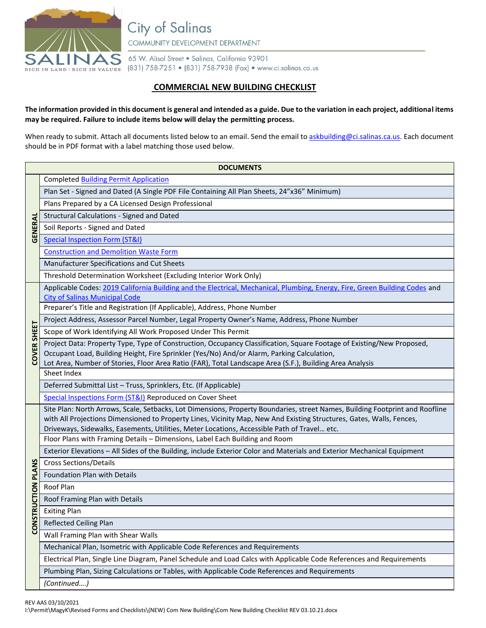

**City of Salinas** COMMUNITY DEVELOPMENT DEPARTMENT

65 W. Alisal Street . Salinas, California 93901 RICH IN LAND | RICH IN VALUES (831) 758-7251 • (831) 758-7938 (Fax) • www.ci.salinas.ca.us

## **COMMERCIAL NEW BUILDING CHECKLIST**

## **The information provided in this document is general and intended as a guide. Due to the variation in each project, additional items may be required. Failure to include items below will delay the permitting process.**

When ready to submit. Attach all documents listed below to an email. Send the email t[o askbuilding@ci.salinas.ca.us.](mailto:askbuilding@ci.salinas.ca.us) Each document should be in PDF format with a label matching those used below.

| <b>DOCUMENTS</b> |                                                                                                                                                                      |  |  |  |
|------------------|----------------------------------------------------------------------------------------------------------------------------------------------------------------------|--|--|--|
| GENERAL          | <b>Completed Building Permit Application</b>                                                                                                                         |  |  |  |
|                  | Plan Set - Signed and Dated (A Single PDF File Containing All Plan Sheets, 24"x36" Minimum)                                                                          |  |  |  |
|                  | Plans Prepared by a CA Licensed Design Professional                                                                                                                  |  |  |  |
|                  | <b>Structural Calculations - Signed and Dated</b>                                                                                                                    |  |  |  |
|                  | Soil Reports - Signed and Dated                                                                                                                                      |  |  |  |
|                  | <b>Special Inspection Form (ST&amp;I)</b>                                                                                                                            |  |  |  |
|                  | <b>Construction and Demolition Waste Form</b>                                                                                                                        |  |  |  |
|                  | Manufacturer Specifications and Cut Sheets                                                                                                                           |  |  |  |
|                  | Threshold Determination Worksheet (Excluding Interior Work Only)                                                                                                     |  |  |  |
| COVER SHEET      | Applicable Codes: 2019 California Building and the Electrical, Mechanical, Plumbing, Energy, Fire, Green Building Codes and<br><b>City of Salinas Municipal Code</b> |  |  |  |
|                  | Preparer's Title and Registration (If Applicable), Address, Phone Number                                                                                             |  |  |  |
|                  | Project Address, Assessor Parcel Number, Legal Property Owner's Name, Address, Phone Number                                                                          |  |  |  |
|                  | Scope of Work Identifying All Work Proposed Under This Permit                                                                                                        |  |  |  |
|                  | Project Data: Property Type, Type of Construction, Occupancy Classification, Square Footage of Existing/New Proposed,                                                |  |  |  |
|                  | Occupant Load, Building Height, Fire Sprinkler (Yes/No) And/or Alarm, Parking Calculation,                                                                           |  |  |  |
|                  | Lot Area, Number of Stories, Floor Area Ratio (FAR), Total Landscape Area (S.F.), Building Area Analysis<br>Sheet Index                                              |  |  |  |
|                  | Deferred Submittal List - Truss, Sprinklers, Etc. (If Applicable)                                                                                                    |  |  |  |
|                  | Special Inspections Form (ST&I) Reproduced on Cover Sheet                                                                                                            |  |  |  |
|                  | Site Plan: North Arrows, Scale, Setbacks, Lot Dimensions, Property Boundaries, street Names, Building Footprint and Roofline                                         |  |  |  |
|                  | with All Projections Dimensioned to Property Lines, Vicinity Map, New And Existing Structures, Gates, Walls, Fences,                                                 |  |  |  |
|                  | Driveways, Sidewalks, Easements, Utilities, Meter Locations, Accessible Path of Travel etc.                                                                          |  |  |  |
|                  | Floor Plans with Framing Details - Dimensions, Label Each Building and Room                                                                                          |  |  |  |
|                  | Exterior Elevations - All Sides of the Building, include Exterior Color and Materials and Exterior Mechanical Equipment                                              |  |  |  |
| <b>PLANS</b>     | <b>Cross Sections/Details</b>                                                                                                                                        |  |  |  |
|                  | Foundation Plan with Details                                                                                                                                         |  |  |  |
| TRUCTION         | Roof Plan                                                                                                                                                            |  |  |  |
|                  | Roof Framing Plan with Details                                                                                                                                       |  |  |  |
|                  | <b>Exiting Plan</b>                                                                                                                                                  |  |  |  |
| <b>CONS</b>      | <b>Reflected Ceiling Plan</b>                                                                                                                                        |  |  |  |
|                  | Wall Framing Plan with Shear Walls                                                                                                                                   |  |  |  |
|                  | Mechanical Plan, Isometric with Applicable Code References and Requirements                                                                                          |  |  |  |
|                  | Electrical Plan, Single Line Diagram, Panel Schedule and Load Calcs with Applicable Code References and Requirements                                                 |  |  |  |
|                  | Plumbing Plan, Sizing Calculations or Tables, with Applicable Code References and Requirements                                                                       |  |  |  |
|                  | (Continued)                                                                                                                                                          |  |  |  |

REV AAS 03/10/2021